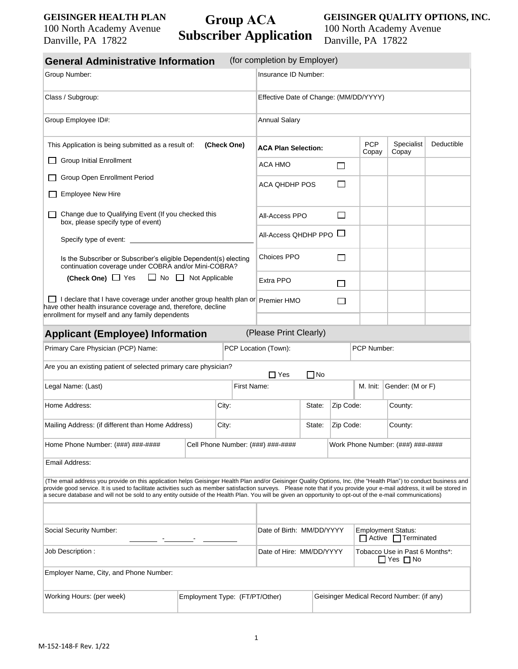## **GEISINGER HEALTH PLAN**

100 North Academy Avenue Danville, PA 17822

## **Group ACA Subscriber Application**

**GEISINGER QUALITY OPTIONS, INC.**  100 North Academy Avenue Danville, PA 17822

| <b>General Administrative Information</b>                                                                                                                                                                                                                                                                                                                                                                                                                                                                   |                                |  |                          | (for completion by Employer)               |                     |            |                                                        |                                                    |  |  |
|-------------------------------------------------------------------------------------------------------------------------------------------------------------------------------------------------------------------------------------------------------------------------------------------------------------------------------------------------------------------------------------------------------------------------------------------------------------------------------------------------------------|--------------------------------|--|--------------------------|--------------------------------------------|---------------------|------------|--------------------------------------------------------|----------------------------------------------------|--|--|
| Group Number:                                                                                                                                                                                                                                                                                                                                                                                                                                                                                               |                                |  |                          | Insurance ID Number:                       |                     |            |                                                        |                                                    |  |  |
| Class / Subgroup:                                                                                                                                                                                                                                                                                                                                                                                                                                                                                           |                                |  |                          | Effective Date of Change: (MM/DD/YYYY)     |                     |            |                                                        |                                                    |  |  |
| Group Employee ID#:                                                                                                                                                                                                                                                                                                                                                                                                                                                                                         | <b>Annual Salary</b>           |  |                          |                                            |                     |            |                                                        |                                                    |  |  |
| This Application is being submitted as a result of:                                                                                                                                                                                                                                                                                                                                                                                                                                                         | <b>ACA Plan Selection:</b>     |  |                          | <b>PCP</b><br>Copay                        | Specialist<br>Copay | Deductible |                                                        |                                                    |  |  |
| <b>Group Initial Enrollment</b><br>Group Open Enrollment Period                                                                                                                                                                                                                                                                                                                                                                                                                                             |                                |  |                          | <b>ACA HMO</b>                             |                     | $\Box$     |                                                        |                                                    |  |  |
|                                                                                                                                                                                                                                                                                                                                                                                                                                                                                                             |                                |  |                          | <b>ACA QHDHP POS</b>                       | П                   |            |                                                        |                                                    |  |  |
| <b>Employee New Hire</b>                                                                                                                                                                                                                                                                                                                                                                                                                                                                                    |                                |  |                          |                                            |                     |            |                                                        |                                                    |  |  |
| Change due to Qualifying Event (If you checked this<br>box, please specify type of event)                                                                                                                                                                                                                                                                                                                                                                                                                   |                                |  |                          | $\overline{\phantom{a}}$<br>All-Access PPO |                     |            |                                                        |                                                    |  |  |
| Specify type of event:                                                                                                                                                                                                                                                                                                                                                                                                                                                                                      |                                |  |                          | All-Access QHDHP PPO $\Box$                |                     |            |                                                        |                                                    |  |  |
| Is the Subscriber or Subscriber's eligible Dependent(s) electing<br>continuation coverage under COBRA and/or Mini-COBRA?                                                                                                                                                                                                                                                                                                                                                                                    |                                |  |                          | <b>Choices PPO</b><br>$\Box$               |                     |            |                                                        |                                                    |  |  |
| $\Box$ No $\Box$ Not Applicable<br>(Check One) $\Box$ Yes                                                                                                                                                                                                                                                                                                                                                                                                                                                   |                                |  |                          | Extra PPO<br>$\Box$                        |                     |            |                                                        |                                                    |  |  |
| I declare that I have coverage under another group health plan or Premier HMO<br>have other health insurance coverage and, therefore, decline<br>enrollment for myself and any family dependents                                                                                                                                                                                                                                                                                                            |                                |  | $\overline{\phantom{0}}$ |                                            |                     |            |                                                        |                                                    |  |  |
| <b>Applicant (Employee) Information</b>                                                                                                                                                                                                                                                                                                                                                                                                                                                                     |                                |  |                          | (Please Print Clearly)                     |                     |            |                                                        |                                                    |  |  |
| Primary Care Physician (PCP) Name:                                                                                                                                                                                                                                                                                                                                                                                                                                                                          |                                |  |                          | PCP Location (Town):<br>PCP Number:        |                     |            |                                                        |                                                    |  |  |
| Are you an existing patient of selected primary care physician?                                                                                                                                                                                                                                                                                                                                                                                                                                             |                                |  |                          | $\Box$ Yes                                 | $\Box$ No           |            |                                                        |                                                    |  |  |
| Legal Name: (Last)                                                                                                                                                                                                                                                                                                                                                                                                                                                                                          |                                |  | First Name:              |                                            |                     |            | M. Init:                                               | Gender: (M or F)                                   |  |  |
| Home Address:<br>City:                                                                                                                                                                                                                                                                                                                                                                                                                                                                                      |                                |  |                          | Zip Code:<br>State:                        |                     |            |                                                        | County:                                            |  |  |
| Mailing Address: (if different than Home Address)<br>City:                                                                                                                                                                                                                                                                                                                                                                                                                                                  |                                |  |                          |                                            | Zip Code:<br>State: |            |                                                        | County:                                            |  |  |
| Home Phone Number: (###) ###-####                                                                                                                                                                                                                                                                                                                                                                                                                                                                           |                                |  |                          | Cell Phone Number: (###) ###-####          |                     |            |                                                        | Work Phone Number: (###) ###-####                  |  |  |
| Email Address:                                                                                                                                                                                                                                                                                                                                                                                                                                                                                              |                                |  |                          |                                            |                     |            |                                                        |                                                    |  |  |
| (The email address you provide on this application helps Geisinger Health Plan and/or Geisinger Quality Options, Inc. (the "Health Plan") to conduct business and<br>provide good service. It is used to facilitate activities such as member satisfaction surveys. Please note that if you provide your e-mail address, it will be stored in<br>a secure database and will not be sold to any entity outside of the Health Plan. You will be given an opportunity to opt-out of the e-mail communications) |                                |  |                          |                                            |                     |            |                                                        |                                                    |  |  |
|                                                                                                                                                                                                                                                                                                                                                                                                                                                                                                             |                                |  |                          |                                            |                     |            |                                                        |                                                    |  |  |
| Social Security Number:                                                                                                                                                                                                                                                                                                                                                                                                                                                                                     |                                |  |                          | Date of Birth: MM/DD/YYYY                  |                     |            |                                                        | <b>Employment Status:</b><br>□ Active □ Terminated |  |  |
| Job Description :                                                                                                                                                                                                                                                                                                                                                                                                                                                                                           |                                |  |                          | Date of Hire: MM/DD/YYYY                   |                     |            | Tobacco Use in Past 6 Months*:<br>$\Box$ Yes $\Box$ No |                                                    |  |  |
| Employer Name, City, and Phone Number:                                                                                                                                                                                                                                                                                                                                                                                                                                                                      |                                |  |                          |                                            |                     |            |                                                        |                                                    |  |  |
| Working Hours: (per week)                                                                                                                                                                                                                                                                                                                                                                                                                                                                                   | Employment Type: (FT/PT/Other) |  |                          |                                            |                     |            | Geisinger Medical Record Number: (if any)              |                                                    |  |  |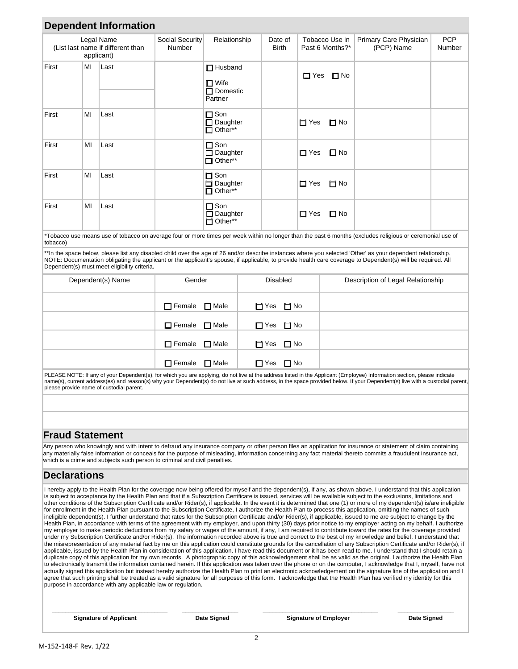|                        |                                                                                            |                                                                                                                                                                          |               | Relationship                                                   |                  |                                   |                                   |                                      |                                                                                                                                                                                                                                                                                                                                                           | <b>PCP</b> |
|------------------------|--------------------------------------------------------------------------------------------|--------------------------------------------------------------------------------------------------------------------------------------------------------------------------|---------------|----------------------------------------------------------------|------------------|-----------------------------------|-----------------------------------|--------------------------------------|-----------------------------------------------------------------------------------------------------------------------------------------------------------------------------------------------------------------------------------------------------------------------------------------------------------------------------------------------------------|------------|
|                        | Social Security<br>Legal Name<br>(List last name if different than<br>Number<br>applicant) |                                                                                                                                                                          |               |                                                                | Date of<br>Birth | Tobacco Use in<br>Past 6 Months?* |                                   | Primary Care Physician<br>(PCP) Name | Number                                                                                                                                                                                                                                                                                                                                                    |            |
| First                  | MI                                                                                         | Last                                                                                                                                                                     |               | $\Box$ Husband<br>$\square$ Wife<br>$\Box$ Domestic<br>Partner |                  |                                   | $\Box$ Yes<br>$\Box$ No           |                                      |                                                                                                                                                                                                                                                                                                                                                           |            |
| First                  | MI                                                                                         | Last                                                                                                                                                                     |               | $\Box$ Son<br>$\Box$ Daughter<br>$\Box$ Other**                |                  |                                   | i⊤i Yes                           | $\Box$ No                            |                                                                                                                                                                                                                                                                                                                                                           |            |
| First                  | MI                                                                                         | Last                                                                                                                                                                     |               | $\square$ Son<br>$\Box$ Daughter<br>$\Box$ Other**             |                  |                                   | $\Box$ Yes                        | $\square$ No                         |                                                                                                                                                                                                                                                                                                                                                           |            |
| First                  | ΜI                                                                                         | Last                                                                                                                                                                     |               | $\Box$ Son<br>Daughter<br>$\Box$ Other**                       |                  |                                   | □ Yes                             | i⊤i No                               |                                                                                                                                                                                                                                                                                                                                                           |            |
| First                  | MI                                                                                         | Last                                                                                                                                                                     |               | $\Box$ Son<br>$\Box$ Daughter<br>$\Box$ Other**                |                  |                                   | $\blacksquare$ Yes                | $\Box$ No                            |                                                                                                                                                                                                                                                                                                                                                           |            |
| tobacco)               |                                                                                            |                                                                                                                                                                          |               |                                                                |                  |                                   |                                   |                                      | *Tobacco use means use of tobacco on average four or more times per week within no longer than the past 6 months (excludes religious or ceremonial use of                                                                                                                                                                                                 |            |
|                        |                                                                                            | Dependent(s) must meet eligibility criteria.                                                                                                                             |               |                                                                |                  |                                   |                                   |                                      | **In the space below, please list any disabled child over the age of 26 and/or describe instances where you selected 'Other' as your dependent relationship.<br>NOTE: Documentation obligating the applicant or the applicant's spouse, if applicable, to provide health care coverage to Dependent(s) will be required. All                              |            |
| Dependent(s) Name      |                                                                                            | Gender                                                                                                                                                                   |               |                                                                | <b>Disabled</b>  |                                   | Description of Legal Relationship |                                      |                                                                                                                                                                                                                                                                                                                                                           |            |
|                        |                                                                                            |                                                                                                                                                                          | $\Box$ Female | $\Box$ Male                                                    | $\Box$ Yes       | $\Box$ No                         |                                   |                                      |                                                                                                                                                                                                                                                                                                                                                           |            |
|                        |                                                                                            |                                                                                                                                                                          | $\Box$ Female | $\Box$ Male                                                    | $\Box$ Yes       | $\Box$ No                         |                                   |                                      |                                                                                                                                                                                                                                                                                                                                                           |            |
|                        |                                                                                            |                                                                                                                                                                          | $\Box$ Female | $\square$ Male                                                 | $\Box$ Yes       | $\Box$ No                         |                                   |                                      |                                                                                                                                                                                                                                                                                                                                                           |            |
|                        |                                                                                            |                                                                                                                                                                          | $\Box$ Female | $\Box$ Male                                                    | $\Box$ Yes       | $\Box$ No                         |                                   |                                      |                                                                                                                                                                                                                                                                                                                                                           |            |
|                        |                                                                                            | please provide name of custodial parent.                                                                                                                                 |               |                                                                |                  |                                   |                                   |                                      | PLEASE NOTE: If any of your Dependent(s), for which you are applying, do not live at the address listed in the Applicant (Employee) Information section, please indicate<br>name(s), current address(es) and reason(s) why your Dependent(s) do not live at such address, in the space provided below. If your Dependent(s) live with a custodial parent, |            |
|                        |                                                                                            |                                                                                                                                                                          |               |                                                                |                  |                                   |                                   |                                      |                                                                                                                                                                                                                                                                                                                                                           |            |
|                        |                                                                                            |                                                                                                                                                                          |               |                                                                |                  |                                   |                                   |                                      |                                                                                                                                                                                                                                                                                                                                                           |            |
| <b>Fraud Statement</b> |                                                                                            |                                                                                                                                                                          |               |                                                                |                  |                                   |                                   |                                      |                                                                                                                                                                                                                                                                                                                                                           |            |
|                        |                                                                                            | which is a crime and subjects such person to criminal and civil penalties.                                                                                               |               |                                                                |                  |                                   |                                   |                                      | Any person who knowingly and with intent to defraud any insurance company or other person files an application for insurance or statement of claim containing<br>any materially false information or conceals for the purpose of misleading, information concerning any fact material thereto commits a fraudulent insurance act,                         |            |
| <b>Declarations</b>    |                                                                                            |                                                                                                                                                                          |               |                                                                |                  |                                   |                                   |                                      |                                                                                                                                                                                                                                                                                                                                                           |            |
|                        |                                                                                            | other conditions of the Subscription Certificate and/or Rider(s), if applicable. In the event it is determined that one (1) or more of my dependent(s) is/are ineligible |               |                                                                |                  |                                   |                                   |                                      | I hereby apply to the Health Plan for the coverage now being offered for myself and the dependent(s), if any, as shown above. I understand that this application<br>is subject to acceptance by the Health Plan and that if a Subscription Certificate is issued, services will be available subject to the exclusions, limitations and                   |            |

for enrollment in the Health Plan pursuant to the Subscription Certificate, I authorize the Health Plan to process this application, omitting the names of such ineligible dependent(s). I further understand that rates for the Subscription Certificate and/or Rider(s), if applicable, issued to me are subject to change by the Health Plan, in accordance with terms of the agreement with my employer, and upon thirty (30) days prior notice to my employer acting on my behalf. I authorize my employer to make periodic deductions from my salary or wages of the amount, if any, I am required to contribute toward the rates for the coverage provided under my Subscription Certificate and/or Rider(s). The information recorded above is true and correct to the best of my knowledge and belief. I understand that the misrepresentation of any material fact by me on this application could constitute grounds for the cancellation of any Subscription Certificate and/or Rider(s), if applicable, issued by the Health Plan in consideration of this application. I have read this document or it has been read to me. I understand that I should retain a duplicate copy of this application for my own records. A photographic copy of this acknowledgement shall be as valid as the original. I authorize the Health Plan to electronically transmit the information contained herein. If this application was taken over the phone or on the computer, I acknowledge that I, myself, have not actually signed this application but instead hereby authorize the Health Plan to print an electronic acknowledgement on the signature line of the application and I agree that such printing shall be treated as a valid signature for all purposes of this form. I acknowledge that the Health Plan has verified my identity for this purpose in accordance with any applicable law or regulation.

\_\_\_\_\_\_\_\_\_\_\_\_\_\_\_\_\_\_\_\_\_\_\_\_\_\_\_\_\_\_\_\_\_\_\_ \_\_\_\_\_\_\_\_\_\_\_\_\_\_\_\_\_ \_\_\_\_\_\_\_\_\_\_\_\_\_\_\_\_\_\_\_\_\_\_\_\_\_\_\_\_\_\_\_\_\_\_\_ \_\_\_\_\_\_\_\_\_\_\_\_\_\_\_\_\_